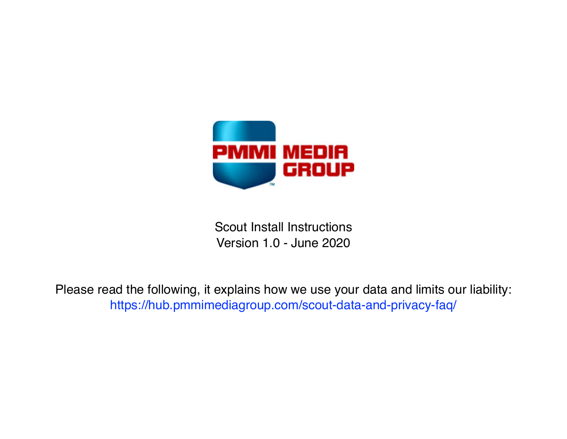

Scout Install Instructions Version 1.0 - June 2020

[Please read the following, it explains how we use your data and limits our liability:](https://hub.pmmimediagroup.com/scout-data-and-privacy-faq/) <https://hub.pmmimediagroup.com/scout-data-and-privacy-faq/>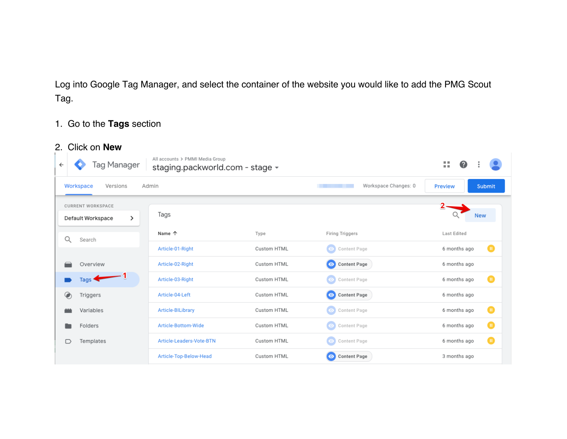Log into Google Tag Manager, and select the container of the website you would like to add the PMG Scout Tag.

### 1. Go to the **Tags** section

### 2. Click on **New**

| Tag Manager<br>$\leftarrow$                        | All accounts > PMMI Media Group<br>staging.packworld.com - stage - |             |                                  | 뜺<br>Ø                   |
|----------------------------------------------------|--------------------------------------------------------------------|-------------|----------------------------------|--------------------------|
| Workspace<br>Versions                              | Admin                                                              |             | Workspace Changes: 0             | Submit<br><b>Preview</b> |
| <b>CURRENT WORKSPACE</b><br>><br>Default Workspace | Tags                                                               |             |                                  | <b>New</b>               |
| Q<br>Search                                        | Name 个                                                             | Type        | <b>Firing Triggers</b>           | Last Edited              |
|                                                    | Article-01-Right                                                   | Custom HTML | Content Page<br>$\bullet$        | o<br>6 months ago        |
| Overview                                           | Article-02-Right                                                   | Custom HTML | O Content Page                   | 6 months ago             |
| Tags '                                             | Article-03-Right                                                   | Custom HTML | $\odot$<br>Content Page          | o<br>6 months ago        |
| Triggers                                           | Article-04-Left                                                    | Custom HTML | O Content Page                   | 6 months ago             |
| Variables                                          | Article-BILibrary                                                  | Custom HTML | Content Page<br>$\bullet$        | o<br>6 months ago        |
| Folders                                            | Article-Bottom-Wide                                                | Custom HTML | Content Page<br>$\bullet$        | ⋒<br>6 months ago        |
| Templates<br>◡                                     | Article-Leaders-Vote-BTN                                           | Custom HTML | Content Page<br>$\bullet$        | o<br>6 months ago        |
|                                                    | Article-Top-Below-Head                                             | Custom HTML | <b>Content Page</b><br>$\bullet$ | 3 months ago             |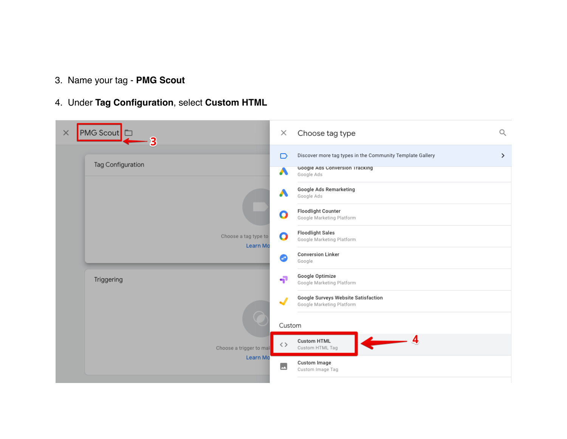- 3. Name your tag **PMG Scout**
- 4. Under **Tag Configuration**, select **Custom HTML**

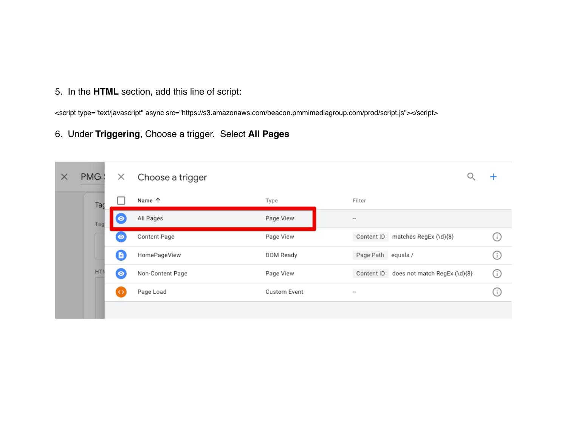5. In the **HTML** section, add this line of script:

<script type="text/javascript" async src="https://s3.amazonaws.com/beacon.pmmimediagroup.com/prod/script.js"></script>

#### 6. Under **Triggering**, Choose a trigger. Select **All Pages**

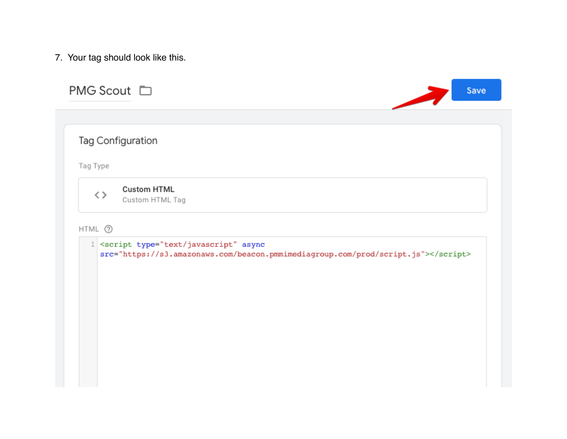7. Your tag should look like this.

| PMG Scout □         |                                                                                                                                |  | Save |
|---------------------|--------------------------------------------------------------------------------------------------------------------------------|--|------|
|                     | Tag Configuration                                                                                                              |  |      |
| Tag Type            |                                                                                                                                |  |      |
| $\langle$ $\rangle$ | <b>Custom HTML</b><br>Custom HTML Tag                                                                                          |  |      |
| HTML 2              |                                                                                                                                |  |      |
|                     | 1 <script async<br="" type="text/javascript">src="https://s3.amazonaws.com/beacon.pmmimediagroup.com/prod/script.js"></script> |  |      |
|                     |                                                                                                                                |  |      |
|                     |                                                                                                                                |  |      |
|                     |                                                                                                                                |  |      |
|                     |                                                                                                                                |  |      |
|                     |                                                                                                                                |  |      |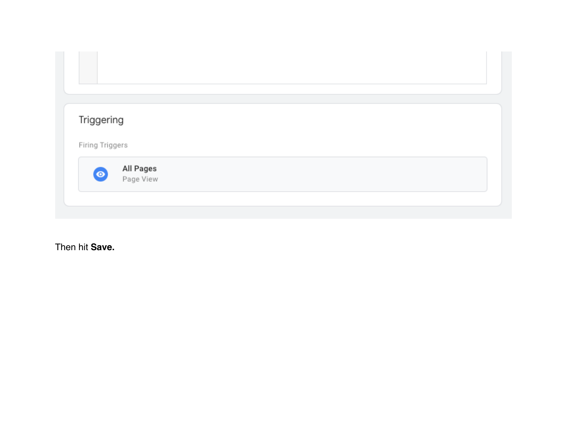| Triggering      |                        |  |  |
|-----------------|------------------------|--|--|
| Firing Triggers |                        |  |  |
|                 | All Pages<br>Page View |  |  |

Then hit **Save.**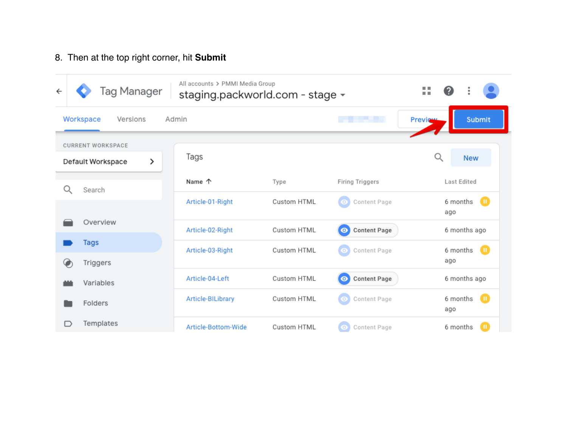## 8. Then at the top right corner, hit **Submit**

| Tag Manager<br>$\leftarrow$                        | All accounts > PMMI Media Group<br>staging.packworld.com - stage - |             |                                  | <b>COLLEGE</b><br>Ø<br>m m |
|----------------------------------------------------|--------------------------------------------------------------------|-------------|----------------------------------|----------------------------|
| Workspace<br>Versions                              | Admin                                                              |             |                                  | Submit<br>Preview          |
| <b>CURRENT WORKSPACE</b><br>⋋<br>Default Workspace | Tags                                                               |             |                                  | Q<br><b>New</b>            |
| Q<br>Search                                        | Name 个                                                             | Type        | <b>Firing Triggers</b>           | Last Edited                |
|                                                    | Article-01-Right                                                   | Custom HTML | Content Page<br>o                | $\bf o$<br>6 months<br>ago |
| Overview                                           | Article-02-Right                                                   | Custom HTML | <b>Content Page</b><br>$\bullet$ | 6 months ago               |
| Tags                                               | Article-03-Right                                                   | Custom HTML | Content Page<br>о                | $\blacksquare$<br>6 months |
| Triggers<br>Ø                                      |                                                                    |             |                                  | ago                        |
| Variables                                          | Article-04-Left                                                    | Custom HTML | <b>Content Page</b><br>$\bullet$ | 6 months ago               |
| Folders                                            | Article-BILibrary                                                  | Custom HTML | Content Page<br>$\bullet$        | o<br>6 months<br>ago       |
| Templates<br>I)                                    | Article-Bottom-Wide                                                | Custom HTML | Content Page<br>$\bullet$        | o<br>6 months              |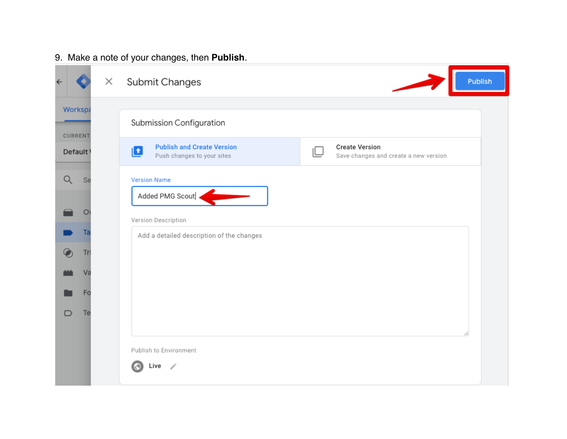# 9. Make a note of your changes, then **Publish**.

| $\leftarrow$   |                                 | × | Publish<br>Submit Changes                                                                                                                                                     |  |
|----------------|---------------------------------|---|-------------------------------------------------------------------------------------------------------------------------------------------------------------------------------|--|
| <b>CURRENT</b> | Workspa<br>Default <sup>1</sup> |   | Submission Configuration<br><b>Publish and Create Version</b><br><b>Create Version</b><br>$\mathbf{t}$<br>Push changes to your sites<br>Save changes and create a new version |  |
| Q              | Se                              |   | <b>Version Name</b><br>Added PMG Scout .                                                                                                                                      |  |
|                | $\circ$                         |   | Version Description                                                                                                                                                           |  |
|                | Ta                              |   | Add a detailed description of the changes                                                                                                                                     |  |
|                | Tri<br>Va                       |   |                                                                                                                                                                               |  |
|                | Fo                              |   |                                                                                                                                                                               |  |
|                | Te                              |   | Publish to Environment<br>Live<br>- P                                                                                                                                         |  |